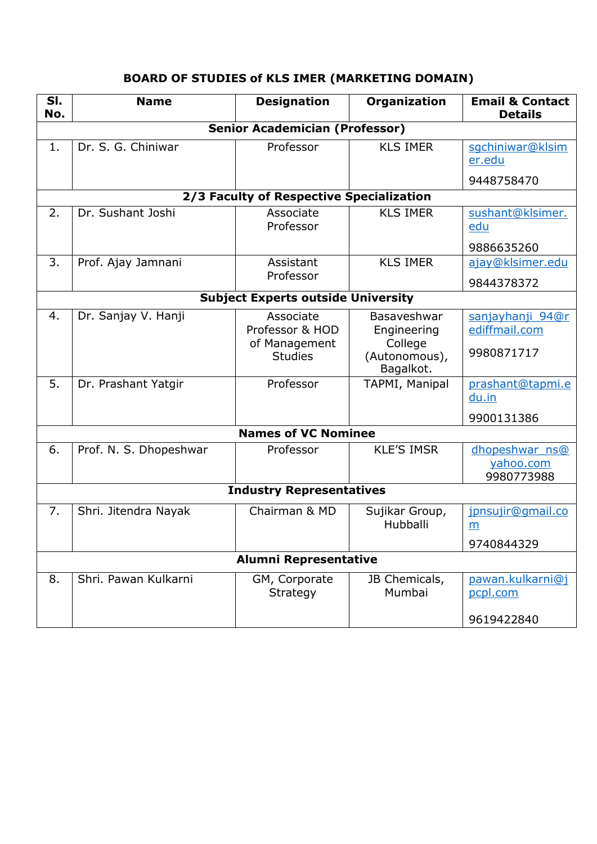# **BOARD OF STUDIES of KLS IMER (MARKETING DOMAIN)**

| SI.<br>No.                                | <b>Name</b>                           | <b>Designation</b>                       | Organization                          | <b>Email &amp; Contact</b><br><b>Details</b> |  |  |
|-------------------------------------------|---------------------------------------|------------------------------------------|---------------------------------------|----------------------------------------------|--|--|
|                                           | <b>Senior Academician (Professor)</b> |                                          |                                       |                                              |  |  |
| 1.                                        | Dr. S. G. Chiniwar                    | Professor                                | <b>KLS IMER</b>                       | sgchiniwar@klsim<br>er.edu                   |  |  |
|                                           |                                       |                                          |                                       | 9448758470                                   |  |  |
|                                           |                                       | 2/3 Faculty of Respective Specialization |                                       |                                              |  |  |
| 2.                                        | Dr. Sushant Joshi                     | Associate<br>Professor                   | <b>KLS IMER</b>                       | sushant@klsimer.<br>edu                      |  |  |
|                                           |                                       |                                          |                                       | 9886635260                                   |  |  |
| 3.                                        | Prof. Ajay Jamnani                    | Assistant                                | <b>KLS IMER</b>                       | ajay@klsimer.edu                             |  |  |
|                                           |                                       | Professor                                |                                       | 9844378372                                   |  |  |
| <b>Subject Experts outside University</b> |                                       |                                          |                                       |                                              |  |  |
| 4.                                        | Dr. Sanjay V. Hanji                   | Associate<br>Professor & HOD             | Basaveshwar<br>Engineering            | sanjayhanji 94@r<br>ediffmail.com            |  |  |
|                                           |                                       | of Management<br><b>Studies</b>          | College<br>(Autonomous),<br>Bagalkot. | 9980871717                                   |  |  |
| 5.                                        | Dr. Prashant Yatgir                   | Professor                                | TAPMI, Manipal                        | prashant@tapmi.e<br>du.in                    |  |  |
|                                           |                                       |                                          |                                       | 9900131386                                   |  |  |
| <b>Names of VC Nominee</b>                |                                       |                                          |                                       |                                              |  |  |
| 6.                                        | Prof. N. S. Dhopeshwar                | Professor                                | <b>KLE'S IMSR</b>                     | dhopeshwar ns@<br>yahoo.com<br>9980773988    |  |  |
|                                           | <b>Industry Representatives</b>       |                                          |                                       |                                              |  |  |
| 7.                                        | Shri. Jitendra Nayak                  | Chairman & MD                            | Sujikar Group,<br>Hubballi            | jpnsujir@qmail.co<br>m                       |  |  |
|                                           |                                       |                                          |                                       | 9740844329                                   |  |  |
| <b>Alumni Representative</b>              |                                       |                                          |                                       |                                              |  |  |
| 8.                                        | Shri. Pawan Kulkarni                  | GM, Corporate<br><b>Strategy</b>         | JB Chemicals,<br>Mumbai               | pawan.kulkarni@j<br>pcpl.com                 |  |  |
|                                           |                                       |                                          |                                       | 9619422840                                   |  |  |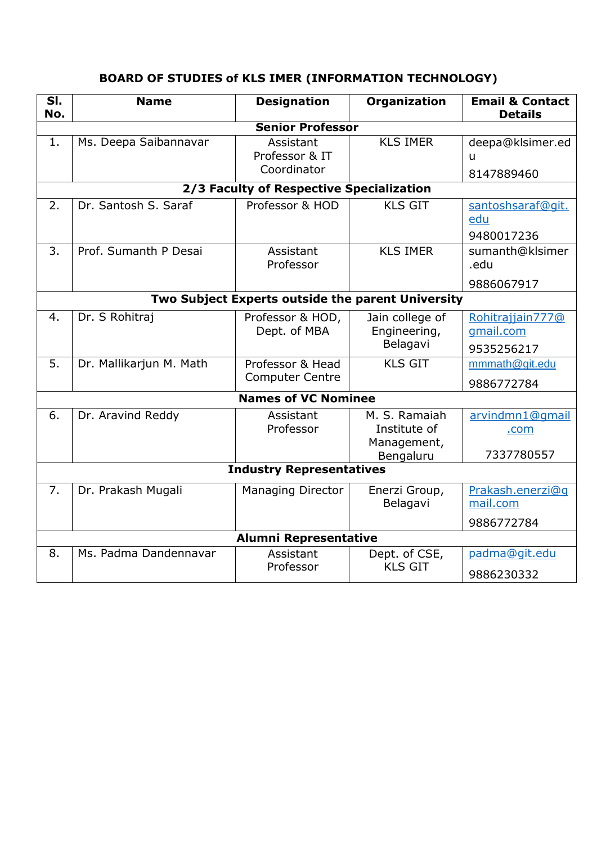| SI.<br>No.                                        | <b>Name</b>             | <b>Designation</b>                         | <b>Organization</b>                                       | <b>Email &amp; Contact</b><br><b>Details</b> |  |
|---------------------------------------------------|-------------------------|--------------------------------------------|-----------------------------------------------------------|----------------------------------------------|--|
|                                                   |                         | <b>Senior Professor</b>                    |                                                           |                                              |  |
| 1.                                                | Ms. Deepa Saibannavar   | Assistant<br>Professor & IT<br>Coordinator | <b>KLS IMER</b>                                           | deepa@klsimer.ed<br>u                        |  |
|                                                   |                         |                                            |                                                           | 8147889460                                   |  |
|                                                   |                         | 2/3 Faculty of Respective Specialization   |                                                           |                                              |  |
| 2.                                                | Dr. Santosh S. Saraf    | Professor & HOD                            | <b>KLS GIT</b>                                            | santoshsaraf@qit.<br>edu<br>9480017236       |  |
| 3.                                                | Prof. Sumanth P Desai   | Assistant<br>Professor                     | <b>KLS IMER</b>                                           | sumanth@klsimer<br>.edu                      |  |
|                                                   |                         |                                            |                                                           | 9886067917                                   |  |
| Two Subject Experts outside the parent University |                         |                                            |                                                           |                                              |  |
| 4.                                                | Dr. S Rohitraj          | Professor & HOD,<br>Dept. of MBA           | Jain college of<br>Engineering,<br>Belagavi               | Rohitrajjain777@<br>qmail.com<br>9535256217  |  |
| 5.                                                | Dr. Mallikarjun M. Math | Professor & Head<br><b>Computer Centre</b> | <b>KLS GIT</b>                                            | mmmath@git.edu<br>9886772784                 |  |
|                                                   |                         | <b>Names of VC Nominee</b>                 |                                                           |                                              |  |
| 6.                                                | Dr. Aravind Reddy       | Assistant<br>Professor                     | M. S. Ramaiah<br>Institute of<br>Management,<br>Bengaluru | arvindmn1@gmail<br>.com<br>7337780557        |  |
| <b>Industry Representatives</b>                   |                         |                                            |                                                           |                                              |  |
| 7.                                                | Dr. Prakash Mugali      | <b>Managing Director</b>                   | Enerzi Group,<br>Belagavi                                 | Prakash.enerzi@q<br>mail.com<br>9886772784   |  |
| <b>Alumni Representative</b>                      |                         |                                            |                                                           |                                              |  |
| 8.                                                | Ms. Padma Dandennavar   | Assistant<br>Professor                     | Dept. of CSE,<br><b>KLS GIT</b>                           | padma@qit.edu<br>9886230332                  |  |

# **BOARD OF STUDIES of KLS IMER (INFORMATION TECHNOLOGY)**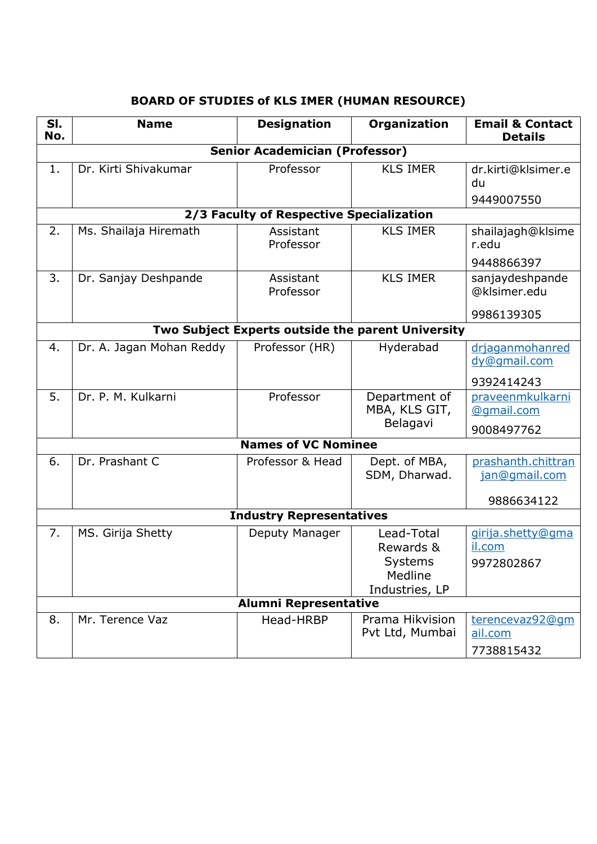| SI.<br>No.                            | <b>Name</b>                                       | <b>Designation</b>                       | Organization                                                    | <b>Email &amp; Contact</b><br><b>Details</b>      |  |  |
|---------------------------------------|---------------------------------------------------|------------------------------------------|-----------------------------------------------------------------|---------------------------------------------------|--|--|
| <b>Senior Academician (Professor)</b> |                                                   |                                          |                                                                 |                                                   |  |  |
| 1.                                    | Dr. Kirti Shivakumar                              | Professor                                | <b>KLS IMER</b>                                                 | dr.kirti@klsimer.e<br>du<br>9449007550            |  |  |
|                                       |                                                   | 2/3 Faculty of Respective Specialization |                                                                 |                                                   |  |  |
| 2.                                    | Ms. Shailaja Hiremath                             | Assistant<br>Professor                   | <b>KLS IMER</b>                                                 | shailajagh@klsime<br>r.edu                        |  |  |
|                                       |                                                   |                                          |                                                                 | 9448866397                                        |  |  |
| 3.                                    | Dr. Sanjay Deshpande                              | Assistant<br>Professor                   | <b>KLS IMER</b>                                                 | sanjaydeshpande<br>@klsimer.edu                   |  |  |
|                                       |                                                   |                                          |                                                                 | 9986139305                                        |  |  |
|                                       | Two Subject Experts outside the parent University |                                          |                                                                 |                                                   |  |  |
| 4.                                    | Dr. A. Jagan Mohan Reddy                          | Professor (HR)                           | Hyderabad                                                       | drjaganmohanred<br>dy@qmail.com                   |  |  |
|                                       |                                                   |                                          |                                                                 | 9392414243                                        |  |  |
| 5.                                    | Dr. P. M. Kulkarni                                | Professor                                | Department of<br>MBA, KLS GIT,<br>Belagavi                      | praveenmkulkarni<br>@gmail.com<br>9008497762      |  |  |
|                                       |                                                   | <b>Names of VC Nominee</b>               |                                                                 |                                                   |  |  |
| 6.                                    | Dr. Prashant C                                    | Professor & Head                         | Dept. of MBA,<br>SDM, Dharwad.                                  | prashanth.chittran<br>jan@gmail.com<br>9886634122 |  |  |
| <b>Industry Representatives</b>       |                                                   |                                          |                                                                 |                                                   |  |  |
| 7.                                    | MS. Girija Shetty                                 | Deputy Manager                           | Lead-Total<br>Rewards &<br>Systems<br>Medline<br>Industries, LP | girija.shetty@gma<br>il.com<br>9972802867         |  |  |
| <b>Alumni Representative</b>          |                                                   |                                          |                                                                 |                                                   |  |  |
| 8.                                    | Mr. Terence Vaz                                   | Head-HRBP                                | Prama Hikvision<br>Pvt Ltd, Mumbai                              | terencevaz92@qm<br>ail.com<br>7738815432          |  |  |

# **BOARD OF STUDIES of KLS IMER (HUMAN RESOURCE)**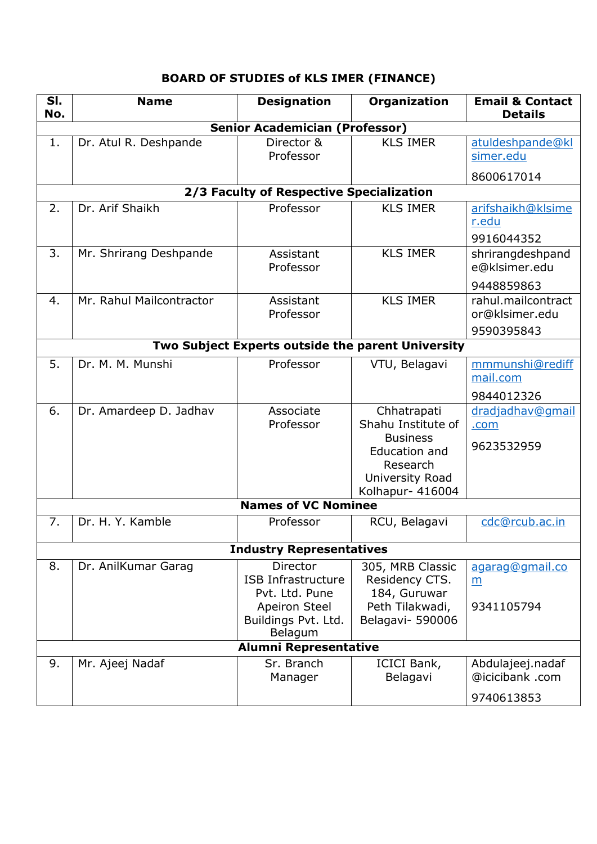# **BOARD OF STUDIES of KLS IMER (FINANCE)**

| SI.<br>No.                      | <b>Name</b>                                       | <b>Designation</b>                       | Organization                   | <b>Email &amp; Contact</b><br><b>Details</b> |  |  |
|---------------------------------|---------------------------------------------------|------------------------------------------|--------------------------------|----------------------------------------------|--|--|
|                                 |                                                   | <b>Senior Academician (Professor)</b>    |                                |                                              |  |  |
| 1.                              | Dr. Atul R. Deshpande                             | Director &                               | <b>KLS IMER</b>                | atuldeshpande@kl                             |  |  |
|                                 |                                                   | Professor                                |                                | simer.edu                                    |  |  |
|                                 |                                                   |                                          |                                | 8600617014                                   |  |  |
|                                 |                                                   | 2/3 Faculty of Respective Specialization |                                |                                              |  |  |
| 2.                              | Dr. Arif Shaikh                                   | Professor                                | <b>KLS IMER</b>                | arifshaikh@klsime<br>r.edu                   |  |  |
|                                 |                                                   |                                          |                                | 9916044352                                   |  |  |
| 3.                              | Mr. Shrirang Deshpande                            | Assistant<br>Professor                   | <b>KLS IMER</b>                | shrirangdeshpand<br>e@klsimer.edu            |  |  |
|                                 |                                                   |                                          |                                | 9448859863                                   |  |  |
| 4.                              | Mr. Rahul Mailcontractor                          | Assistant<br>Professor                   | <b>KLS IMER</b>                | rahul.mailcontract<br>or@klsimer.edu         |  |  |
|                                 |                                                   |                                          |                                | 9590395843                                   |  |  |
|                                 | Two Subject Experts outside the parent University |                                          |                                |                                              |  |  |
| 5.                              | Dr. M. M. Munshi                                  | Professor                                | VTU, Belagavi                  | mmmunshi@rediff<br>mail.com                  |  |  |
|                                 |                                                   |                                          |                                | 9844012326                                   |  |  |
| 6.                              | Dr. Amardeep D. Jadhav                            | Associate                                | Chhatrapati                    | dradjadhav@qmail                             |  |  |
|                                 |                                                   | Professor                                | Shahu Institute of             | .com                                         |  |  |
|                                 |                                                   |                                          | <b>Business</b>                | 9623532959                                   |  |  |
|                                 |                                                   |                                          | Education and                  |                                              |  |  |
|                                 |                                                   |                                          | Research<br>University Road    |                                              |  |  |
|                                 |                                                   |                                          | Kolhapur- 416004               |                                              |  |  |
|                                 |                                                   | <b>Names of VC Nominee</b>               |                                |                                              |  |  |
| 7.                              | Dr. H. Y. Kamble                                  | Professor                                | RCU, Belagavi                  | cdc@rcub.ac.in                               |  |  |
| <b>Industry Representatives</b> |                                                   |                                          |                                |                                              |  |  |
| 8.                              | Dr. AnilKumar Garag                               | <b>Director</b>                          | 305, MRB Classic               | agarag@gmail.co                              |  |  |
|                                 |                                                   | <b>ISB Infrastructure</b>                | Residency CTS.                 | m                                            |  |  |
|                                 |                                                   | Pvt. Ltd. Pune                           | 184, Guruwar                   |                                              |  |  |
|                                 |                                                   | Apeiron Steel                            | Peth Tilakwadi,                | 9341105794                                   |  |  |
|                                 |                                                   | Buildings Pvt. Ltd.<br>Belagum           | Belagavi- 590006               |                                              |  |  |
| <b>Alumni Representative</b>    |                                                   |                                          |                                |                                              |  |  |
| 9.                              | Mr. Ajeej Nadaf                                   | Sr. Branch<br>Manager                    | <b>ICICI Bank,</b><br>Belagavi | Abdulajeej.nadaf<br>@icicibank .com          |  |  |
|                                 |                                                   |                                          |                                | 9740613853                                   |  |  |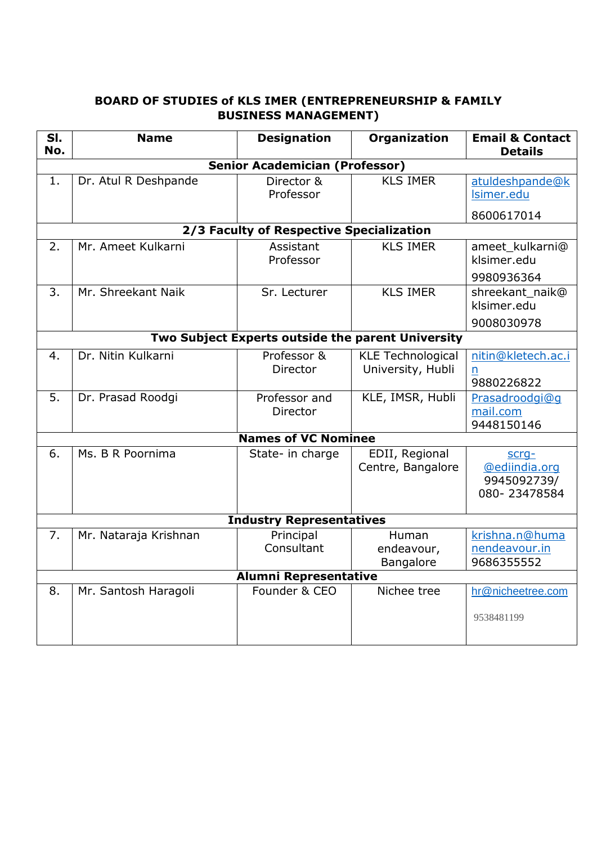### **BOARD OF STUDIES of KLS IMER (ENTREPRENEURSHIP & FAMILY BUSINESS MANAGEMENT)**

| SI.<br>No.                                        | <b>Name</b>           | <b>Designation</b>                       | Organization                        | <b>Email &amp; Contact</b><br><b>Details</b>          |  |
|---------------------------------------------------|-----------------------|------------------------------------------|-------------------------------------|-------------------------------------------------------|--|
|                                                   |                       | <b>Senior Academician (Professor)</b>    |                                     |                                                       |  |
| 1.                                                | Dr. Atul R Deshpande  | Director &<br>Professor                  | <b>KLS IMER</b>                     | atuldeshpande@k<br>Isimer.edu                         |  |
|                                                   |                       |                                          |                                     | 8600617014                                            |  |
|                                                   |                       | 2/3 Faculty of Respective Specialization |                                     |                                                       |  |
| $\overline{2}$ .                                  | Mr. Ameet Kulkarni    | Assistant<br>Professor                   | <b>KLS IMER</b>                     | ameet_kulkarni@<br>klsimer.edu                        |  |
|                                                   |                       |                                          |                                     | 9980936364                                            |  |
| 3.                                                | Mr. Shreekant Naik    | Sr. Lecturer                             | <b>KLS IMER</b>                     | shreekant_naik@<br>klsimer.edu                        |  |
|                                                   |                       |                                          |                                     | 9008030978                                            |  |
| Two Subject Experts outside the parent University |                       |                                          |                                     |                                                       |  |
| 4.                                                | Dr. Nitin Kulkarni    | Professor &                              | <b>KLE Technological</b>            | nitin@kletech.ac.i                                    |  |
|                                                   |                       | Director                                 | University, Hubli                   | n<br>9880226822                                       |  |
| 5.                                                | Dr. Prasad Roodgi     | Professor and<br><b>Director</b>         | KLE, IMSR, Hubli                    | Prasadroodgi@q<br>mail.com<br>9448150146              |  |
|                                                   |                       | <b>Names of VC Nominee</b>               |                                     |                                                       |  |
| 6.                                                | Ms. B R Poornima      | State- in charge                         | EDII, Regional<br>Centre, Bangalore | scrq-<br>@ediindia.org<br>9945092739/<br>080-23478584 |  |
| <b>Industry Representatives</b>                   |                       |                                          |                                     |                                                       |  |
| 7.                                                | Mr. Nataraja Krishnan | Principal<br>Consultant                  | Human<br>endeavour,<br>Bangalore    | krishna.n@huma<br>nendeavour.in<br>9686355552         |  |
| <b>Alumni Representative</b>                      |                       |                                          |                                     |                                                       |  |
| 8.                                                | Mr. Santosh Haragoli  | Founder & CEO                            | Nichee tree                         | hr@nicheetree.com                                     |  |
|                                                   |                       |                                          |                                     | 9538481199                                            |  |